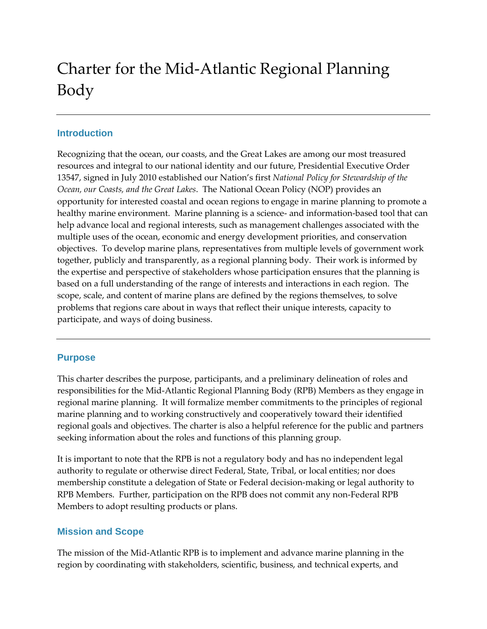# Charter for the Mid-Atlantic Regional Planning Body

## **Introduction**

Recognizing that the ocean, our coasts, and the Great Lakes are among our most treasured resources and integral to our national identity and our future, Presidential Executive Order 13547, signed in July 2010 established our Nation's first *National Policy for Stewardship of the Ocean, our Coasts, and the Great Lakes*. The National Ocean Policy (NOP) provides an opportunity for interested coastal and ocean regions to engage in marine planning to promote a healthy marine environment. Marine planning is a science- and information-based tool that can help advance local and regional interests, such as management challenges associated with the multiple uses of the ocean, economic and energy development priorities, and conservation objectives. To develop marine plans, representatives from multiple levels of government work together, publicly and transparently, as a regional planning body. Their work is informed by the expertise and perspective of stakeholders whose participation ensures that the planning is based on a full understanding of the range of interests and interactions in each region. The scope, scale, and content of marine plans are defined by the regions themselves, to solve problems that regions care about in ways that reflect their unique interests, capacity to participate, and ways of doing business.

## **Purpose**

This charter describes the purpose, participants, and a preliminary delineation of roles and responsibilities for the Mid-Atlantic Regional Planning Body (RPB) Members as they engage in regional marine planning. It will formalize member commitments to the principles of regional marine planning and to working constructively and cooperatively toward their identified regional goals and objectives. The charter is also a helpful reference for the public and partners seeking information about the roles and functions of this planning group.

It is important to note that the RPB is not a regulatory body and has no independent legal authority to regulate or otherwise direct Federal, State, Tribal, or local entities; nor does membership constitute a delegation of State or Federal decision-making or legal authority to RPB Members. Further, participation on the RPB does not commit any non-Federal RPB Members to adopt resulting products or plans.

## **Mission and Scope**

The mission of the Mid-Atlantic RPB is to implement and advance marine planning in the region by coordinating with stakeholders, scientific, business, and technical experts, and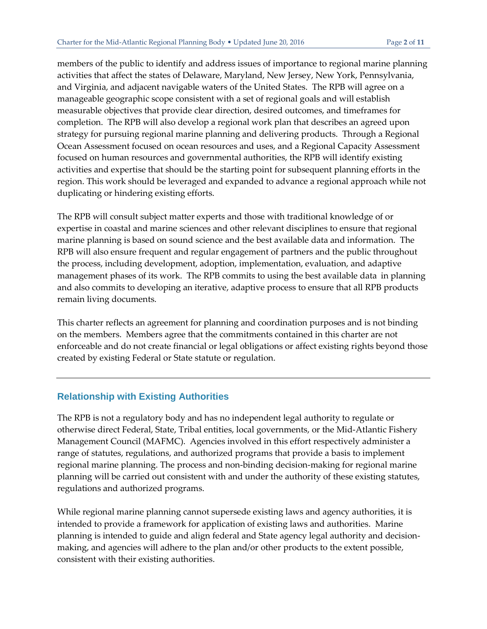members of the public to identify and address issues of importance to regional marine planning activities that affect the states of Delaware, Maryland, New Jersey, New York, Pennsylvania, and Virginia, and adjacent navigable waters of the United States. The RPB will agree on a manageable geographic scope consistent with a set of regional goals and will establish measurable objectives that provide clear direction, desired outcomes, and timeframes for completion. The RPB will also develop a regional work plan that describes an agreed upon strategy for pursuing regional marine planning and delivering products. Through a Regional Ocean Assessment focused on ocean resources and uses, and a Regional Capacity Assessment focused on human resources and governmental authorities, the RPB will identify existing activities and expertise that should be the starting point for subsequent planning efforts in the region. This work should be leveraged and expanded to advance a regional approach while not duplicating or hindering existing efforts.

The RPB will consult subject matter experts and those with traditional knowledge of or expertise in coastal and marine sciences and other relevant disciplines to ensure that regional marine planning is based on sound science and the best available data and information. The RPB will also ensure frequent and regular engagement of partners and the public throughout the process, including development, adoption, implementation, evaluation, and adaptive management phases of its work. The RPB commits to using the best available data in planning and also commits to developing an iterative, adaptive process to ensure that all RPB products remain living documents.

This charter reflects an agreement for planning and coordination purposes and is not binding on the members. Members agree that the commitments contained in this charter are not enforceable and do not create financial or legal obligations or affect existing rights beyond those created by existing Federal or State statute or regulation.

## **Relationship with Existing Authorities**

The RPB is not a regulatory body and has no independent legal authority to regulate or otherwise direct Federal, State, Tribal entities, local governments, or the Mid-Atlantic Fishery Management Council (MAFMC). Agencies involved in this effort respectively administer a range of statutes, regulations, and authorized programs that provide a basis to implement regional marine planning. The process and non-binding decision-making for regional marine planning will be carried out consistent with and under the authority of these existing statutes, regulations and authorized programs.

While regional marine planning cannot supersede existing laws and agency authorities, it is intended to provide a framework for application of existing laws and authorities. Marine planning is intended to guide and align federal and State agency legal authority and decisionmaking, and agencies will adhere to the plan and/or other products to the extent possible, consistent with their existing authorities.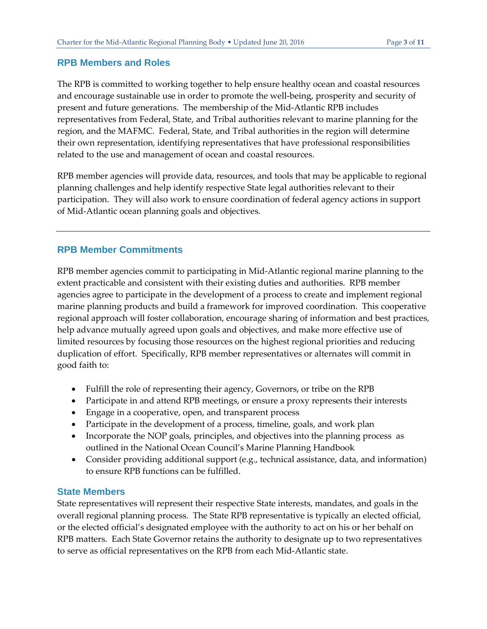## **RPB Members and Roles**

The RPB is committed to working together to help ensure healthy ocean and coastal resources and encourage sustainable use in order to promote the well-being, prosperity and security of present and future generations. The membership of the Mid-Atlantic RPB includes representatives from Federal, State, and Tribal authorities relevant to marine planning for the region, and the MAFMC. Federal, State, and Tribal authorities in the region will determine their own representation, identifying representatives that have professional responsibilities related to the use and management of ocean and coastal resources.

RPB member agencies will provide data, resources, and tools that may be applicable to regional planning challenges and help identify respective State legal authorities relevant to their participation. They will also work to ensure coordination of federal agency actions in support of Mid-Atlantic ocean planning goals and objectives.

## **RPB Member Commitments**

RPB member agencies commit to participating in Mid-Atlantic regional marine planning to the extent practicable and consistent with their existing duties and authorities. RPB member agencies agree to participate in the development of a process to create and implement regional marine planning products and build a framework for improved coordination. This cooperative regional approach will foster collaboration, encourage sharing of information and best practices, help advance mutually agreed upon goals and objectives, and make more effective use of limited resources by focusing those resources on the highest regional priorities and reducing duplication of effort. Specifically, RPB member representatives or alternates will commit in good faith to:

- Fulfill the role of representing their agency, Governors, or tribe on the RPB
- Participate in and attend RPB meetings, or ensure a proxy represents their interests
- Engage in a cooperative, open, and transparent process
- Participate in the development of a process, timeline, goals, and work plan
- Incorporate the NOP goals, principles, and objectives into the planning process as outlined in the National Ocean Council's Marine Planning Handbook
- Consider providing additional support (e.g., technical assistance, data, and information) to ensure RPB functions can be fulfilled.

## **State Members**

State representatives will represent their respective State interests, mandates, and goals in the overall regional planning process. The State RPB representative is typically an elected official, or the elected official's designated employee with the authority to act on his or her behalf on RPB matters.Each State Governor retains the authority to designate up to two representatives to serve as official representatives on the RPB from each Mid-Atlantic state.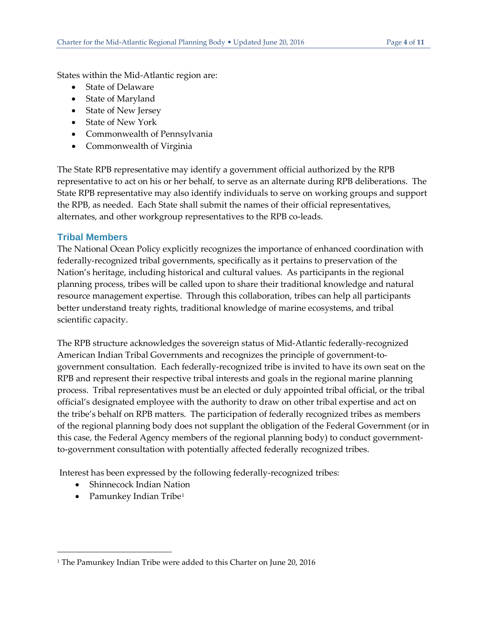States within the Mid-Atlantic region are:

- State of Delaware
- State of Maryland
- State of New Jersey
- State of New York
- Commonwealth of Pennsylvania
- Commonwealth of Virginia

The State RPB representative may identify a government official authorized by the RPB representative to act on his or her behalf, to serve as an alternate during RPB deliberations. The State RPB representative may also identify individuals to serve on working groups and support the RPB, as needed. Each State shall submit the names of their official representatives, alternates, and other workgroup representatives to the RPB co-leads.

## **Tribal Members**

The National Ocean Policy explicitly recognizes the importance of enhanced coordination with federally-recognized tribal governments, specifically as it pertains to preservation of the Nation's heritage, including historical and cultural values. As participants in the regional planning process, tribes will be called upon to share their traditional knowledge and natural resource management expertise. Through this collaboration, tribes can help all participants better understand treaty rights, traditional knowledge of marine ecosystems, and tribal scientific capacity.

The RPB structure acknowledges the sovereign status of Mid-Atlantic federally-recognized American Indian Tribal Governments and recognizes the principle of government-togovernment consultation. Each federally-recognized tribe is invited to have its own seat on the RPB and represent their respective tribal interests and goals in the regional marine planning process. Tribal representatives must be an elected or duly appointed tribal official, or the tribal official's designated employee with the authority to draw on other tribal expertise and act on the tribe's behalf on RPB matters. The participation of federally recognized tribes as members of the regional planning body does not supplant the obligation of the Federal Government (or in this case, the Federal Agency members of the regional planning body) to conduct governmentto-government consultation with potentially affected federally recognized tribes.

Interest has been expressed by the following federally-recognized tribes:

- Shinnecock Indian Nation
- Pamunkey Indian Tribe<sup>[1](#page-3-0)</sup>

 $\overline{a}$ 

<span id="page-3-0"></span><sup>&</sup>lt;sup>1</sup> The Pamunkey Indian Tribe were added to this Charter on June 20, 2016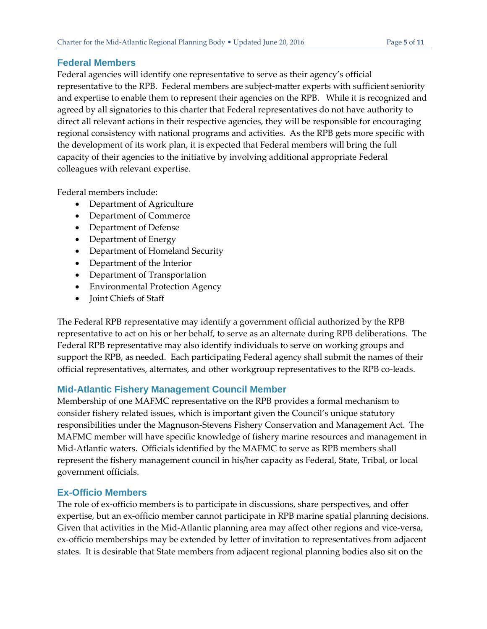## **Federal Members**

Federal agencies will identify one representative to serve as their agency's official representative to the RPB. Federal members are subject-matter experts with sufficient seniority and expertise to enable them to represent their agencies on the RPB. While it is recognized and agreed by all signatories to this charter that Federal representatives do not have authority to direct all relevant actions in their respective agencies, they will be responsible for encouraging regional consistency with national programs and activities. As the RPB gets more specific with the development of its work plan, it is expected that Federal members will bring the full capacity of their agencies to the initiative by involving additional appropriate Federal colleagues with relevant expertise.

Federal members include:

- Department of Agriculture
- Department of Commerce
- Department of Defense
- Department of Energy
- Department of Homeland Security
- Department of the Interior
- Department of Transportation
- Environmental Protection Agency
- Joint Chiefs of Staff

The Federal RPB representative may identify a government official authorized by the RPB representative to act on his or her behalf, to serve as an alternate during RPB deliberations. The Federal RPB representative may also identify individuals to serve on working groups and support the RPB, as needed. Each participating Federal agency shall submit the names of their official representatives, alternates, and other workgroup representatives to the RPB co-leads.

## **Mid-Atlantic Fishery Management Council Member**

Membership of one MAFMC representative on the RPB provides a formal mechanism to consider fishery related issues, which is important given the Council's unique statutory responsibilities under the Magnuson-Stevens Fishery Conservation and Management Act. The MAFMC member will have specific knowledge of fishery marine resources and management in Mid-Atlantic waters. Officials identified by the MAFMC to serve as RPB members shall represent the fishery management council in his/her capacity as Federal, State, Tribal, or local government officials.

## **Ex-Officio Members**

The role of ex-officio members is to participate in discussions, share perspectives, and offer expertise, but an ex-officio member cannot participate in RPB marine spatial planning decisions. Given that activities in the Mid-Atlantic planning area may affect other regions and vice-versa, ex-officio memberships may be extended by letter of invitation to representatives from adjacent states. It is desirable that State members from adjacent regional planning bodies also sit on the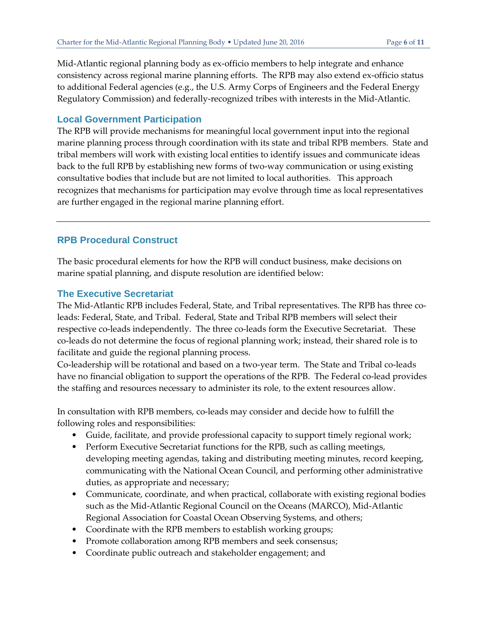Mid-Atlantic regional planning body as ex-officio members to help integrate and enhance consistency across regional marine planning efforts. The RPB may also extend ex-officio status to additional Federal agencies (e.g., the U.S. Army Corps of Engineers and the Federal Energy Regulatory Commission) and federally-recognized tribes with interests in the Mid-Atlantic.

## **Local Government Participation**

The RPB will provide mechanisms for meaningful local government input into the regional marine planning process through coordination with its state and tribal RPB members. State and tribal members will work with existing local entities to identify issues and communicate ideas back to the full RPB by establishing new forms of two-way communication or using existing consultative bodies that include but are not limited to local authorities. This approach recognizes that mechanisms for participation may evolve through time as local representatives are further engaged in the regional marine planning effort.

## **RPB Procedural Construct**

The basic procedural elements for how the RPB will conduct business, make decisions on marine spatial planning, and dispute resolution are identified below:

## **The Executive Secretariat**

The Mid-Atlantic RPB includes Federal, State, and Tribal representatives. The RPB has three coleads: Federal, State, and Tribal. Federal, State and Tribal RPB members will select their respective co-leads independently. The three co-leads form the Executive Secretariat. These co-leads do not determine the focus of regional planning work; instead, their shared role is to facilitate and guide the regional planning process.

Co-leadership will be rotational and based on a two-year term. The State and Tribal co-leads have no financial obligation to support the operations of the RPB. The Federal co-lead provides the staffing and resources necessary to administer its role, to the extent resources allow.

In consultation with RPB members, co-leads may consider and decide how to fulfill the following roles and responsibilities:

- Guide, facilitate, and provide professional capacity to support timely regional work;
- Perform Executive Secretariat functions for the RPB, such as calling meetings, developing meeting agendas, taking and distributing meeting minutes, record keeping, communicating with the National Ocean Council, and performing other administrative duties, as appropriate and necessary;
- Communicate, coordinate, and when practical, collaborate with existing regional bodies such as the Mid-Atlantic Regional Council on the Oceans (MARCO), Mid-Atlantic Regional Association for Coastal Ocean Observing Systems, and others;
- Coordinate with the RPB members to establish working groups;
- Promote collaboration among RPB members and seek consensus;
- Coordinate public outreach and stakeholder engagement; and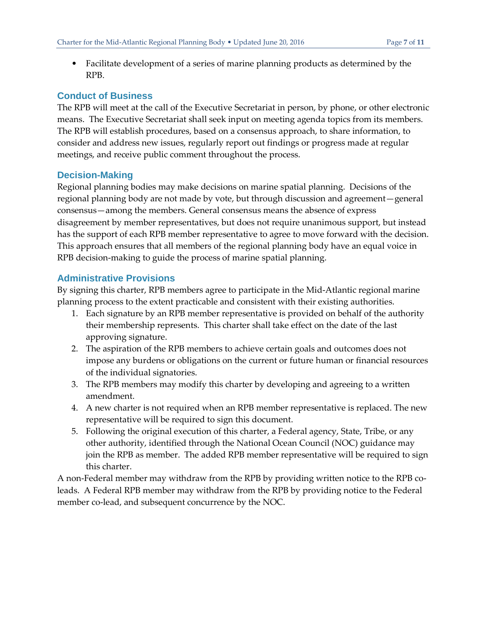• Facilitate development of a series of marine planning products as determined by the RPB.

## **Conduct of Business**

The RPB will meet at the call of the Executive Secretariat in person, by phone, or other electronic means. The Executive Secretariat shall seek input on meeting agenda topics from its members. The RPB will establish procedures, based on a consensus approach, to share information, to consider and address new issues, regularly report out findings or progress made at regular meetings, and receive public comment throughout the process.

## **Decision-Making**

Regional planning bodies may make decisions on marine spatial planning. Decisions of the regional planning body are not made by vote, but through discussion and agreement—general consensus—among the members. General consensus means the absence of express disagreement by member representatives, but does not require unanimous support, but instead has the support of each RPB member representative to agree to move forward with the decision. This approach ensures that all members of the regional planning body have an equal voice in RPB decision-making to guide the process of marine spatial planning.

## **Administrative Provisions**

By signing this charter, RPB members agree to participate in the Mid-Atlantic regional marine planning process to the extent practicable and consistent with their existing authorities.

- 1. Each signature by an RPB member representative is provided on behalf of the authority their membership represents. This charter shall take effect on the date of the last approving signature.
- 2. The aspiration of the RPB members to achieve certain goals and outcomes does not impose any burdens or obligations on the current or future human or financial resources of the individual signatories.
- 3. The RPB members may modify this charter by developing and agreeing to a written amendment.
- 4. A new charter is not required when an RPB member representative is replaced. The new representative will be required to sign this document.
- 5. Following the original execution of this charter, a Federal agency, State, Tribe, or any other authority, identified through the National Ocean Council (NOC) guidance may join the RPB as member. The added RPB member representative will be required to sign this charter.

A non-Federal member may withdraw from the RPB by providing written notice to the RPB coleads. A Federal RPB member may withdraw from the RPB by providing notice to the Federal member co-lead, and subsequent concurrence by the NOC.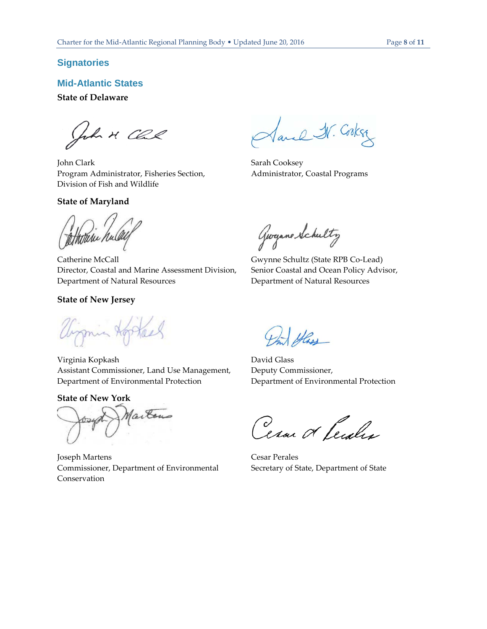#### **Signatories**

**Mid-Atlantic States** 

#### **State of Delaware**

John M. Clal

John Clark Program Administrator, Fisheries Section, Division of Fish and Wildlife

#### **State of Maryland**

Sand IV. Cookse

Sarah Cooksey Administrator, Coastal Programs

tetterre nu

Catherine McCall Director, Coastal and Marine Assessment Division, Department of Natural Resources

#### **State of New Jersey**

Wirmin Hopher

Virginia Kopkash Assistant Commissioner, Land Use Management, Department of Environmental Protection

#### **State of New York**

Marton

Joseph Martens Commissioner, Department of Environmental Conservation

Georgane Schultz

Gwynne Schultz (State RPB Co-Lead) Senior Coastal and Ocean Policy Advisor, Department of Natural Resources

Hass

David Glass Deputy Commissioner, Department of Environmental Protection

Cesar & Centre

Cesar Perales Secretary of State, Department of State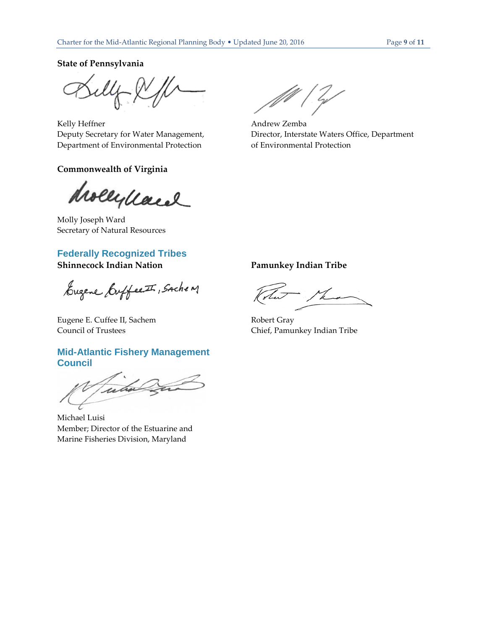**State of Pennsylvania**

Kelly Heffner Deputy Secretary for Water Management, Department of Environmental Protection

#### **Commonwealth of Virginia**

drollydand

Molly Joseph Ward Secretary of Natural Resources

## **Federally Recognized Tribes**

Eugene Euffect , Sache M

Eugene E. Cuffee II, Sachem Council of Trustees

## **Mid-Atlantic Fishery Management Council**

Futur

Michael Luisi Member; Director of the Estuarine and Marine Fisheries Division, Maryland

Andrew Zemba Director, Interstate Waters Office, Department of Environmental Protection

**Shinnecock Indian Nation Pamunkey Indian Tribe**

VL

Robert Gray Chief, Pamunkey Indian Tribe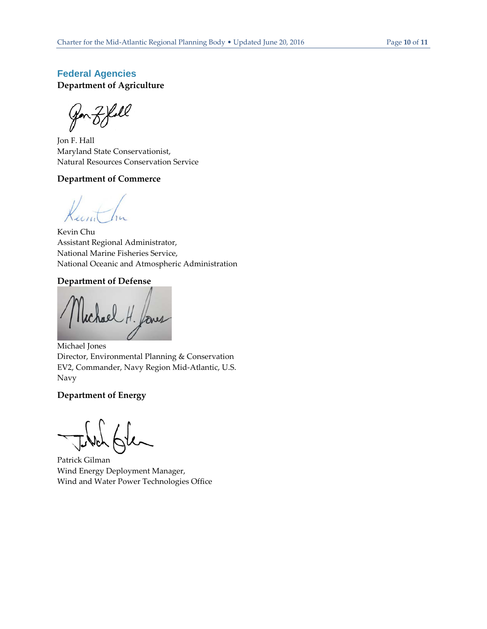## **Federal Agencies Department of Agriculture**

Jon Z Yoll

Jon F. Hall Maryland State Conservationist, Natural Resources Conservation Service

#### **Department of Commerce**

Kevin Chu Assistant Regional Administrator, National Marine Fisheries Service, National Oceanic and Atmospheric Administration

#### **Department of Defense**

four

Michael Jones Director, Environmental Planning & Conservation EV2, Commander, Navy Region Mid-Atlantic, U.S. Navy

#### **Department of Energy**

Patrick Gilman Wind Energy Deployment Manager, Wind and Water Power Technologies Office